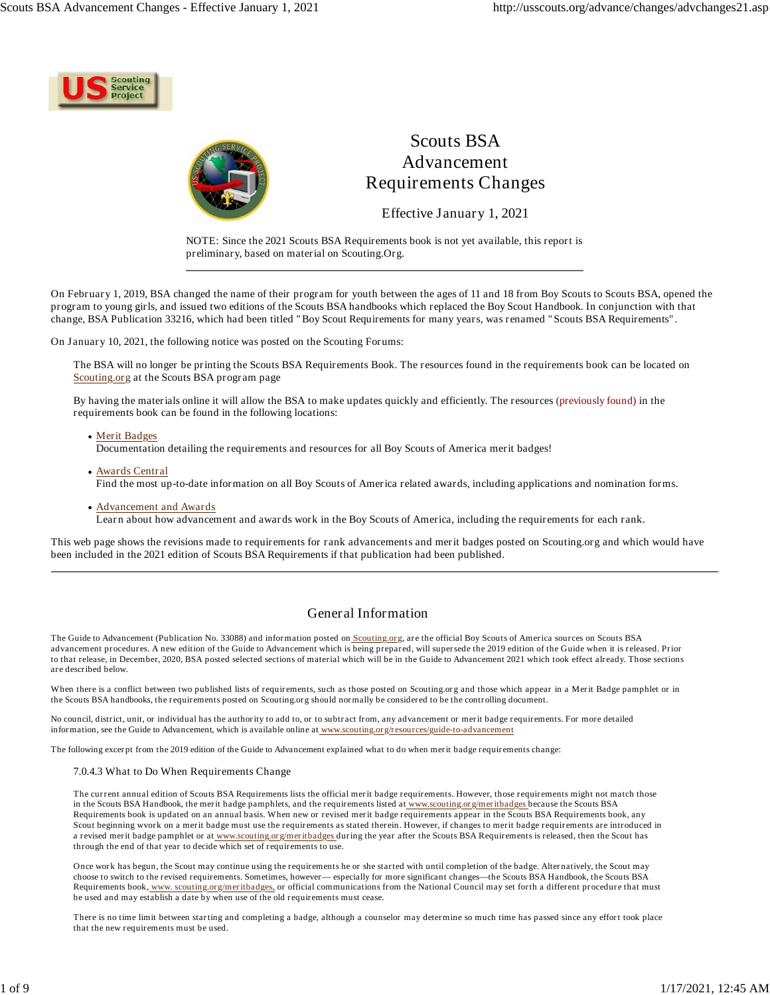



# Scouts BSA Advancement Requirements Changes

Effective January 1, 2021

NOTE: Since the 2021 Scouts BSA Requirements book is not yet available, this report is preliminary, based on material on Scouting.Org.

On February 1, 2019, BSA changed the name of their program for youth between the ages of 11 and 18 from Boy Scouts to Scouts BSA, opened the program to young girls, and issued two editions of the Scouts BSA handbooks which replaced the Boy Scout Handbook. In conjunction with that change, BSA Publication 33216, which had been titled "Boy Scout Requirements for many years, was renamed " Scouts BSA Requirements" .

On January 10, 2021, the following notice was posted on the Scouting Forums:

The BSA will no longer be printing the Scouts BSA Requirements Book. The resources found in the requirements book can be located on Scouting.org at the Scouts BSA program page

By having the materials online it will allow the BSA to make updates quickly and efficiently. The resources (previously found) in the requirements book can be found in the following locations:

• Merit Badges

Documentation detailing the requirements and resources for all Boy Scouts of America merit badges!

- Awards Central Find the most up-to-date information on all Boy Scouts of America related awards, including applications and nomination forms.
- Advancement and Awards Learn about how advancement and awards work in the Boy Scouts of America, including the requirements for each rank.

This web page shows the revisions made to requirements for rank advancements and merit badges posted on Scouting.org and which would have been included in the 2021 edition of Scouts BSA Requirements if that publication had been published.

### General Information

The Guide to Advancement (Publication No. 33088) and information posted on Scouting.org, are the official Boy Scouts of America sources on Scouts BSA advancement procedures. A new edition of the Guide to Advancement which is being prepared, will supersede the 2019 edition of the Guide when it is released. Prior to that release, in December, 2020, BSA posted selected sections of material which will be in the Guide to Advancement 2021 which took effect already. Those sections are described below.

When there is a conflict between two published lists of requirements, such as those posted on Scouting.org and those which appear in a Merit Badge pamphlet or in the Scouts BSA handbooks, the r equirements posted on Scouting.or g should normally be considered to be the controlling document.

No council, district, unit, or individual has the authority to add to, or to subtract from, any advancement or merit badge requirements. For more detailed information, see the Guide to Advancement, which is available online at www.scouting.org/resources/guide-to-advancement

The following excerpt from the 2019 edition of the Guide to Advancement explained what to do when merit badge requirements change:

### 7.0.4.3 What to Do When Requirements Change

The current annual edition of Scouts BSA Requirements lists the official merit badge requir ements. However, those requir ements might not match those in the Scouts BSA Handbook, the merit badge pamphlets, and the requirements listed at www.scouting.or g/meritbadges because the Scouts BSA Requirements book is updated on an annual basis. When new or revised merit badge requirements appear in the Scouts BSA Requirements book, any Scout beginning wvork on a merit badge must use the requirements as stated therein. However, if changes to merit badge requirements are introduced in a revised merit badge pamphlet or at www.scouting.org/meritbadges during the year after the Scouts BSA Requirements is released, then the Scout has through the end of that year to decide which set of requirements to use.

Once work has begun, the Scout may continue using the requirements he or she started with until completion of the badge. Alternatively, the Scout may choose to switch to the revised requirements. Sometimes, however— especially for more significant changes—the Scouts BSA Handbook, the Scouts BSA Requirements book, www. scouting.org/meritbadges, or official communications from the National Council may set forth a different procedure that must be used and may establish a date by when use of the old r equirements must cease.

There is no time limit between starting and completing a badge, although a counselor may determine so much time has passed since any effort took place that the new requirements must be used.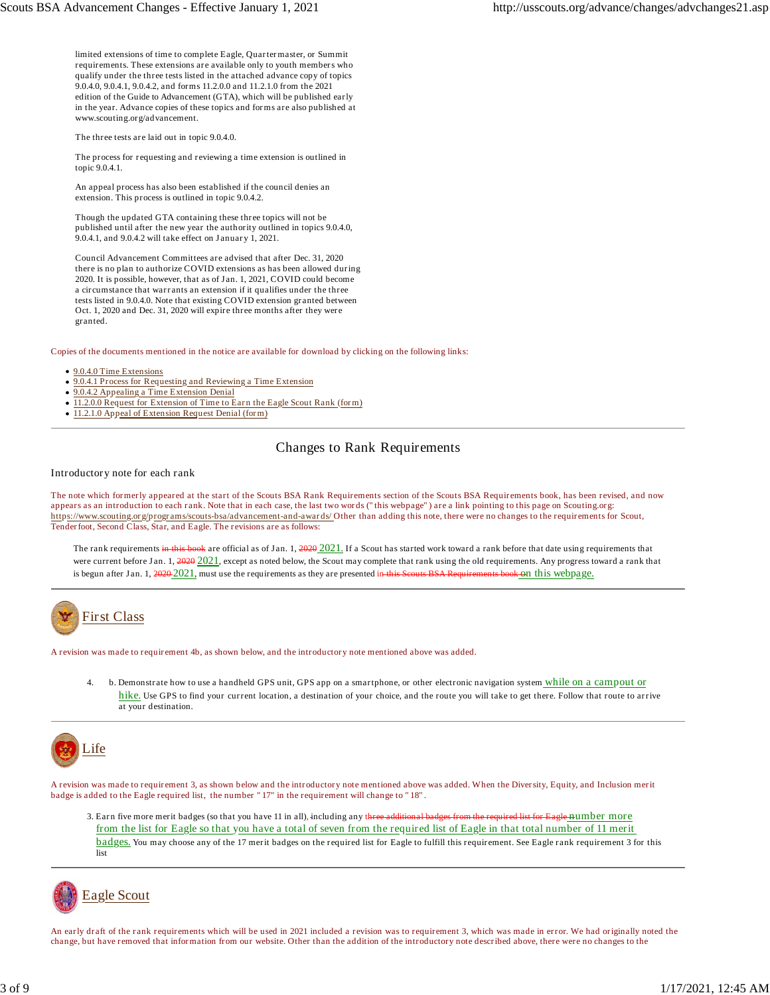limited extensions of time to complete Eagle, Quartermaster, or Summit requirements. These extensions are available only to youth members who qualify under the three tests listed in the attached advance copy of topics 9.0.4.0, 9.0.4.1, 9.0.4.2, and forms 11.2.0.0 and 11.2.1.0 from the 2021 edition of the Guide to Advancement (GTA), which will be published early in the year. Advance copies of these topics and forms are also published at www.scouting.org/advancement.

The three tests are laid out in topic 9.0.4.0.

The process for requesting and reviewing a time extension is outlined in topic 9.0.4.1.

An appeal process has also been established if the council denies an extension. This process is outlined in topic 9.0.4.2.

Though the updated GTA containing these three topics will not be published until after the new year the authority outlined in topics 9.0.4.0, 9.0.4.1, and 9.0.4.2 will take effect on January 1, 2021.

Council Advancement Committees are advised that after Dec. 31, 2020 there is no plan to authorize COVID extensions as has been allowed during 2020. It is possible, however, that as of J an. 1, 2021, COVID could become a circumstance that warr ants an extension if it qualifies under the three tests listed in 9.0.4.0. Note that existing COVID extension granted between Oct. 1, 2020 and Dec. 31, 2020 will expire three months after they were granted.

Copies of the documents mentioned in the notice are available for download by clicking on the following links:

- 9.0.4.0 Time Extensions
- 9.0.4.1 Process for Requesting and Reviewing a Time Extension
- 9.0.4.2 Appealing a Time Extension Denial
- 11.2.0.0 Request for Extension of Time to Earn the Eagle Scout Rank (form)
- 11.2.1.0 Appeal of Extension Request Denial (form)

## Changes to Rank Requirements

### Introductory note for each rank

The note which formerly appeared at the start of the Scouts BSA Rank Requirements section of the Scouts BSA Requirements book, has been revised, and now appears as an introduction to each rank. Note that in each case, the last two words ("this webpage") are a link pointing to this page on Scouting.org: https://www.scouting.org/programs/scouts-bsa/advancement-and-awards/ Other than adding this note, there were no changes to the requirements for Scout, Tenderfoot, Second Class, Star, and Eagle. The revisions are as follows:

The rank requirements in this book are official as of Jan. 1,  $2020\ 201$ . If a Scout has started work toward a rank before that date using requirements that were current before Jan. 1, 2020 2021, except as noted below, the Scout may complete that rank using the old requirements. Any progress toward a rank that is begun after Jan. 1, 2020 2021, must use the requirements as they are presented in this Seouts BSA Requirements book on this webpage.



A revision was made to requirement 4b, as shown below, and the introductory note mentioned above was added.

b. Demonstrate how to use a handheld GPS unit, GPS app on a smartphone, or other electronic navigation system while on a campout or hike. Use GPS to find your current location, a destination of your choice, and the route you will take to get there. Follow that route to arrive at your destination.



A revision was made to requirement 3, as shown below and the introductory note mentioned above was added. When the Diversity, Equity, and Inclusion merit badge is added to the Eagle required list, the number " 17" in the requirement will change to " 18" .

3. Earn five more merit badges (so that you have 11 in all), including any three additional badges from the required list for Eagle number more from the list for Eagle so that you have a total of seven from the required list of Eagle in that total number of 11 merit badges. You may choose any of the 17 merit badges on the required list for Eagle to fulfill this requirement. See Eagle rank requirement 3 for this list



An early draft of the rank requirements which will be used in 2021 included a revision was to requirement 3, which was made in error. We had originally noted the change, but have removed that information from our website. Other than the addition of the introductory note described above, there were no changes to the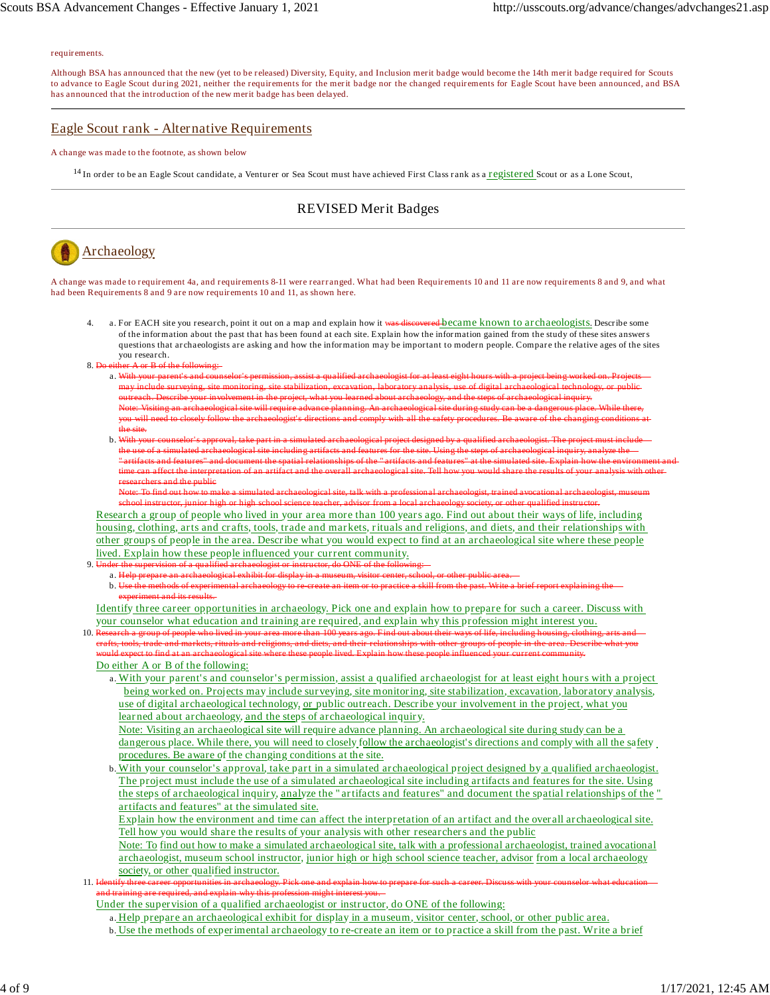#### requirements.

Although BSA has announced that the new (yet to be r eleased) Diversity, Equity, and Inclusion merit badge would become the 14th merit badge required for Scouts to advance to Eagle Scout during 2021, neither the requirements for the merit badge nor the changed requirements for Eagle Scout have been announced, and BSA has announced that the introduction of the new merit badge has been delayed.

### Eagle Scout rank - Alternative Requirements

### A change was made to the footnote, as shown below

<sup>14</sup> In order to be an Eagle Scout candidate, a Venturer or Sea Scout must have achieved First Class rank as a registered Scout or as a Lone Scout,

# REVISED Merit Badges

# Archaeology

A change was made to requirement 4a, and requirements 8-11 were rearr anged. What had been Requir ements 10 and 11 are now requirements 8 and 9, and what had been Requirements 8 and 9 are now requirements 10 and 11, as shown here.

- 4. a. For EACH site you research, point it out on a map and explain how it was discovered became known to archaeologists. Describe some of the information about the past that has been found at each site. Explain how the information gained from the study of these sites answers questions that archaeologists are asking and how the information may be important to modern people. Compare the relative ages of the sites you research.
- 8. Do either A or B of the following:
	- a. With your parent's and counselor's permission, assist a qualified archaeologist for at least eight hours with a project being worked on. Projects may include surveying, site monitoring, site stabilization, excavation, laboratory analysis, use of digital archaeological technology, or public outreach. Describe your involvement in the project, what you learned about archaeology, and the steps of archaeological inquiry. Note: Visiting an archaeological site will require advance planning. An archaeological site during study can be a dangerous place. While there, you will need to closely follow the archaeologist's directions and comply with all the safety procedures. Be aware of the changing conditions at the site.
	- b. With your counselor's approval, take part in a simulated archaeological project designed by a qualified archaeologist. The project must include the use of a simulated archaeological site including artifacts and features for the site. Using the steps of archaeological inquiry, analyze the " artifacts and features" and document the spatial relationships of the " artifacts and features" at the simulated site. Explain how the environment and time can affect the interpretation of an artifact and the overall archaeological site. Tell how you would share the results of your analysis with other researchers and the public

Note: To find out how to make a simulated archaeological site, talk with a professional archaeologist, trained avocational archaeologist, museum school instructor, junior high or high school science teacher, advisor from a local archaeology society, or other qualified instructor.

Research a group of people who lived in your area more than 100 years ago. Find out about their ways of life, including housing, clothing, arts and crafts, tools, trade and markets, rituals and religions, and diets, and their relationships with other groups of people in the area. Describe what you would expect to find at an archaeological site where these people lived. Explain how these people influenced your current community.

- 9. Under the supervision of a qualified archaeologist or instructor, do ONE of the following:
	- a. Help prepare an archaeological exhibit for display in a museum, visitor center, school, or other public area.
		- b. Use the methods of experimental archaeology to re-create an item or to practice a skill from the past. Write a brief report explaining the experiment and its results.

Identify three career opportunities in archaeology. Pick one and explain how to prepare for such a career. Discuss with your counselor what education and training are required, and explain why this profession might interest you.

- 10. Research a group of people who lived in your area more than 100 years ago. Find out about their ways of life, including housing, clothing, arts and crafts, tools, trade and markets, rituals and religions, and diets, and their relationships with other groups of people in the area. Describe what you would expect to find at an archaeological site where these people lived. Explain how these people influenced your current community. Do either A or B of the following:
	- a. With your parent's and counselor's permission, assist a qualified archaeologist for at least eight hours with a project being worked on. Projects may include surveying, site monitoring, site stabilization, excavation, labor atory analysis, use of digital archaeological technology, or public outreach. Describe your involvement in the project, what you learned about archaeology, and the steps of archaeological inquiry.

Note: Visiting an archaeological site will require advance planning. An archaeological site during study can be a dangerous place. While there, you will need to closely follow the archaeologist's directions and comply with all the safety. procedures. Be aware of the changing conditions at the site.

b. With your counselor's approval, take part in a simulated archaeological project designed by a qualified archaeologist. The project must include the use of a simulated archaeological site including artifacts and features for the site. Using the steps of archaeological inquiry, analyze the " artifacts and features" and document the spatial relationships of the " artifacts and features" at the simulated site.

Explain how the environment and time can affect the interpretation of an artifact and the over all archaeological site. Tell how you would share the results of your analysis with other researchers and the public

Note: To find out how to make a simulated archaeological site, talk with a professional archaeologist, trained avocational archaeologist, museum school instructor, junior high or high school science teacher, advisor from a local archaeology society, or other qualified instructor.

- 11. Identify three career opportunities in archaeology. Pick one and explain how to prepare for such a career. Discuss with your counselor what education and training are required, and explain why this profession might interest you.
	- Under the supervision of a qualified archaeologist or instructor, do ONE of the following:
		- a. Help prepare an archaeological exhibit for display in a museum, visitor center, school, or other public area.
		- b. Use the methods of experimental archaeology to re-create an item or to practice a skill from the past. Write a brief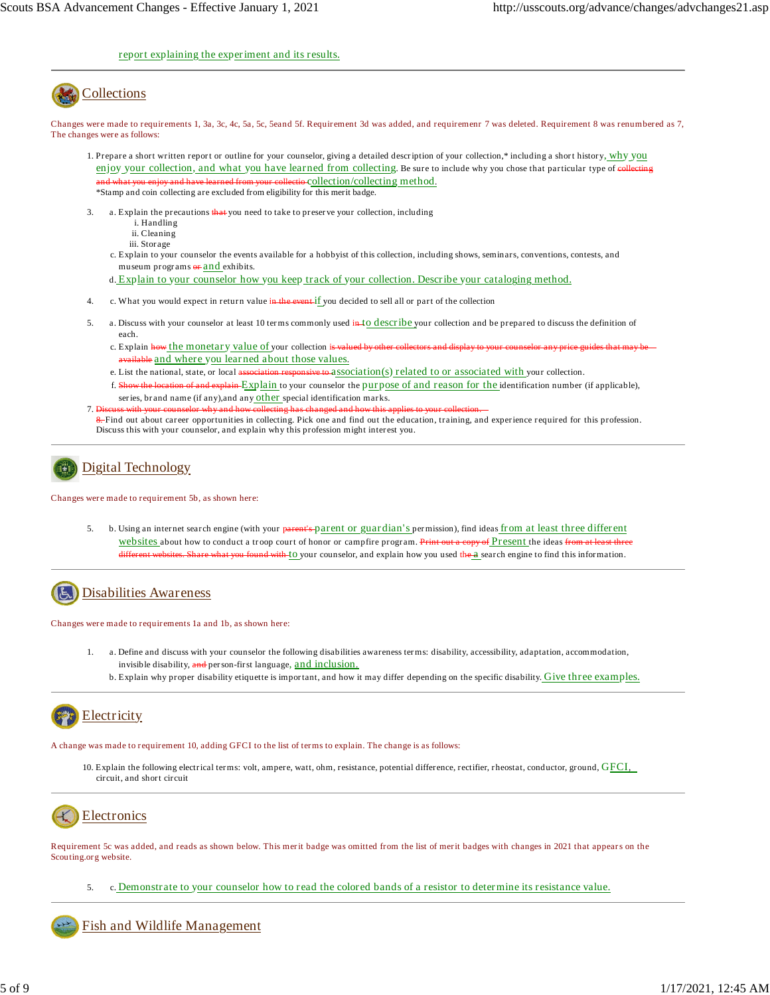### report explaining the experiment and its results.



Changes were made to requirements 1, 3a, 3c, 4c, 5a, 5c, 5eand 5f. Requirement 3d was added, and requiremenr 7 was deleted. Requirement 8 was renumbered as 7, The changes were as follows:

- 1. Prepare a short written report or outline for your counselor, giving a detailed description of your collection,\* including a short history, why you enjoy your collection, and what you have learned from collecting. Be sure to include why you chose that particular type of collecting allectio collection/collecting method. \*Stamp and coin collecting are excluded from eligibility for this merit badge.
- 3. a. Explain the precautions that you need to take to preserve your collection, including
	- i. Handling
	- ii. Cleaning
	- iii. Stor age
	- c. Explain to your counselor the events available for a hobbyist of this collection, including shows, seminars, conventions, contests, and museum programs or and exhibits.
	- d. Explain to your counselor how you keep track of your collection. Describe your cataloging method.
- 4. c. What you would expect in return value in the event if you decided to sell all or part of the collection
- 5. a. Discuss with your counselor at least 10 terms commonly used in +0 describe your collection and be prepared to discuss the definition of each.
	- c. Explain how the monetary value of your collection is valued by other collectors and display to your counselor any price guides that may be available and where you learned about those values.
	- e. List the national, state, or local association responsive to association(s) related to or associated with your collection.
	- f. Show the location of and explain Explain to your counselor the purpose of and reason for the identification number (if applicable), series, brand name (if any),and any other special identification marks.

7. Discuss with your counselor why and how collecting has changed and how this applies to your collection. 8. Find out about career opportunities in collecting. Pick one and find out the education, training, and experience required for this profession. Discuss this with your counselor, and explain why this profession might inter est you.

#### Digital Technology ₩

Changes were made to requirement 5b, as shown here:

b. Using an internet search engine (with your parent's parent or guardian's permission), find ideas from at least three different websites about how to conduct a troop court of honor or campfire program. Print out a copy of Present the ideas from at least the found with to your counselor, and explain how you used the a search engine to find this information.

#### Disabilities Awareness  $(E)$

Changes were made to requirements 1a and 1b, as shown here:

- 1. a. Define and discuss with your counselor the following disabilities awareness terms: disability, accessibility, adaptation, accommodation, invisible disability, and person-first language, and inclusion.
	- b. Explain why proper disability etiquette is important, and how it may differ depending on the specific disability. Give three examples.



A change was made to requirement 10, adding GFCI to the list of terms to explain. The change is as follows:

10. Explain the following electrical terms: volt, ampere, watt, ohm, resistance, potential difference, rectifier, rheostat, conductor, ground, GECI, circuit, and short circuit



Requirement 5c was added, and reads as shown below. This merit badge was omitted from the list of merit badges with changes in 2021 that appears on the Scouting.or g website.

5. c. Demonstrate to your counselor how to read the colored bands of a resistor to determine its resistance value.

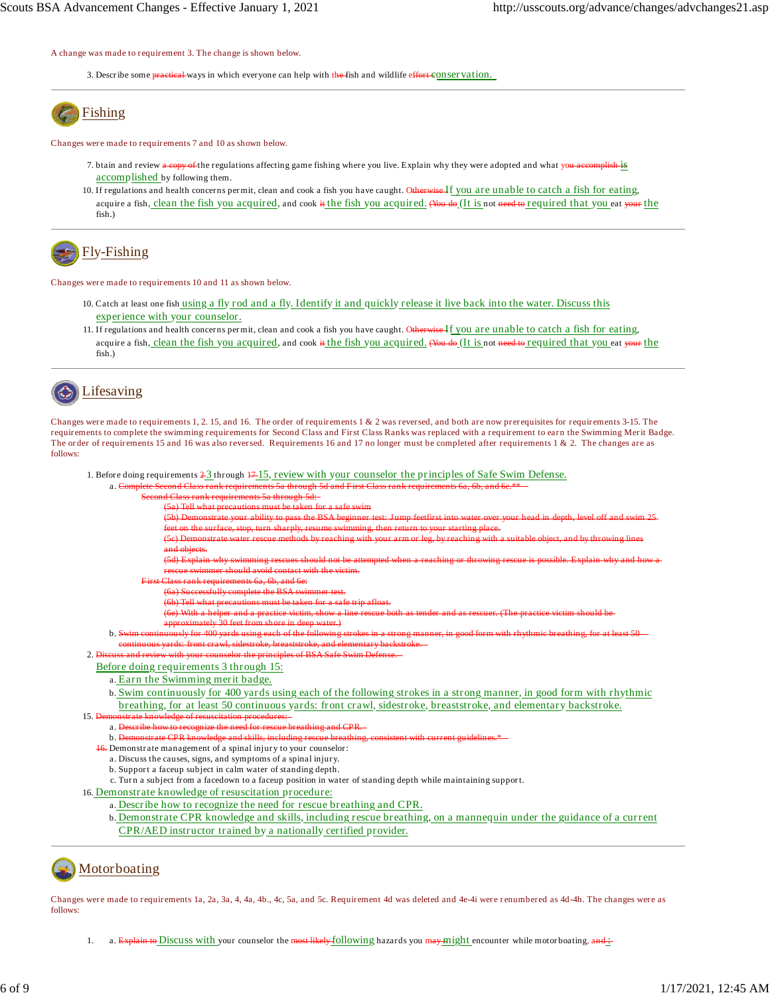A change was made to requirement 3. The change is shown below.

3. Describe some practical ways in which everyone can help with the fish and wildlife effort conservation.



Changes were made to requirements 7 and 10 as shown below.

- 7. btain and review a copy of the regulations affecting game fishing where you live. Explain why they were adopted and what you accomplish is accomplished by following them.
- 10. If regulations and health concerns permit, clean and cook a fish you have caught. Otherwise If you are unable to catch a fish for eating, acquire a fish, clean the fish you acquired, and cook it the fish you acquired. (You do (It is not need to required that you eat your the fish.)

Fly-Fishing

Changes were made to requirements 10 and 11 as shown below.

- 10. Catch at least one fish using a fly rod and a fly. Identify it and quickly release it live back into the water. Discuss this experience with your counselor.
- 11. If regulations and health concerns permit, clean and cook a fish you have caught. Otherwise If you are unable to catch a fish for eating, acquire a fish, clean the fish you acquired, and cook it the fish you acquired. (You do (It is not need to required that you eat your the fish.)



Changes were made to requirements 1, 2. 15, and 16. The order of requirements  $1 & 2$  was reversed, and both are now prerequisites for requirements 3-15. The requirements to complete the swimming requirements for Second Class and First Class Ranks was replaced with a requirement to earn the Swimming Merit Badge. The or der of requirements 15 and 16 was also reversed. Requirements 16 and 17 no longer must be completed after requirements 1 & 2. The changes are as follows:

1. Before doing requirements 2-3 through 17-15, review with your counselor the principles of Safe Swim Defense.

- a. Complete Second Class rank requirements 5a through 5d and First Class rank requirements 6a, 6b, and 6e.\*\*
	- Second Class rank requirements 5a through 5d:  $(5a)$  Tall what
		- (5b) Demonstrate your ability to pass the BSA beginner test: J ump feetfirst into water over your head in depth, level off and swim 25
		- feet on the surface, stop, turn sharply, resume swimming, then return to your starting place.
		- (5c) Demonstrate water rescue methods by reaching with your arm or leg, by reaching with a suitable object, and by throwing lines and objects.<br>(5d) Explain

should not be attempted when a reaching or throwing rescue is possible. Explain why and how and a void contact with the victim.

- s rank requirements 6a, 6b, and 6e:
	- $(6a)$  Successfully complete the BSA swing
	- (6b) Tell what precautions must be taken for a safe trip afloat.
	- (6 tender and as rescuer (The practice victim, should be.
- approximately 30 fe
- b. Swim continuously for 400 yards using each of the fo
- continuous yards: front crawl, sidestroke, breaststroke, and elementary backstroke.
- 2. Discuss and review with your counselor the principles of BSA Safe Swim Defense. Before doing requirements 3 through 15:
	- - a. Earn the Swimming merit badge.
		- b. Swim continuously for 400 yards using each of the following strokes in a strong manner, in good form with rhythmic breathing, for at least 50 continuous yards: front crawl, sidestroke, breaststroke, and elementary backstroke.
- 15. Demonstrate knowledge of resuscitation procedures:
	- a. Describe how to recognize the need for rescue breathing and CPR.
	- b. Demonstrate CPR knowledge and skills, including rescue breathing, consistent with current guidelines.\*
	- 16. Demonstr ate management of a spinal injur y to your counselor:
		- a. Discuss the causes, signs, and symptoms of a spinal injury.
		- b. Support a faceup subject in calm water of standing depth.
		- c. Tur n a subject from a facedown to a faceup position in water of standing depth while maintaining support.

16. Demonstr ate knowledge of resuscitation procedure:

- a. Describe how to recognize the need for rescue breathing and CPR.
- b. Demonstrate CPR knowledge and skills, including rescue breathing, on a mannequin under the guidance of a current CPR/AED instructor trained by a nationally certified provider.

## Motorboating

Changes were made to requirements 1a, 2a, 3a, 4, 4a, 4b., 4c, 5a, and 5c. Requirement 4d was deleted and 4e-4i were renumbered as 4d-4h. The changes were as follows:

1. a. Explain to Discuss with your counselor the most likely following hazards you may might encounter while motor boating, and: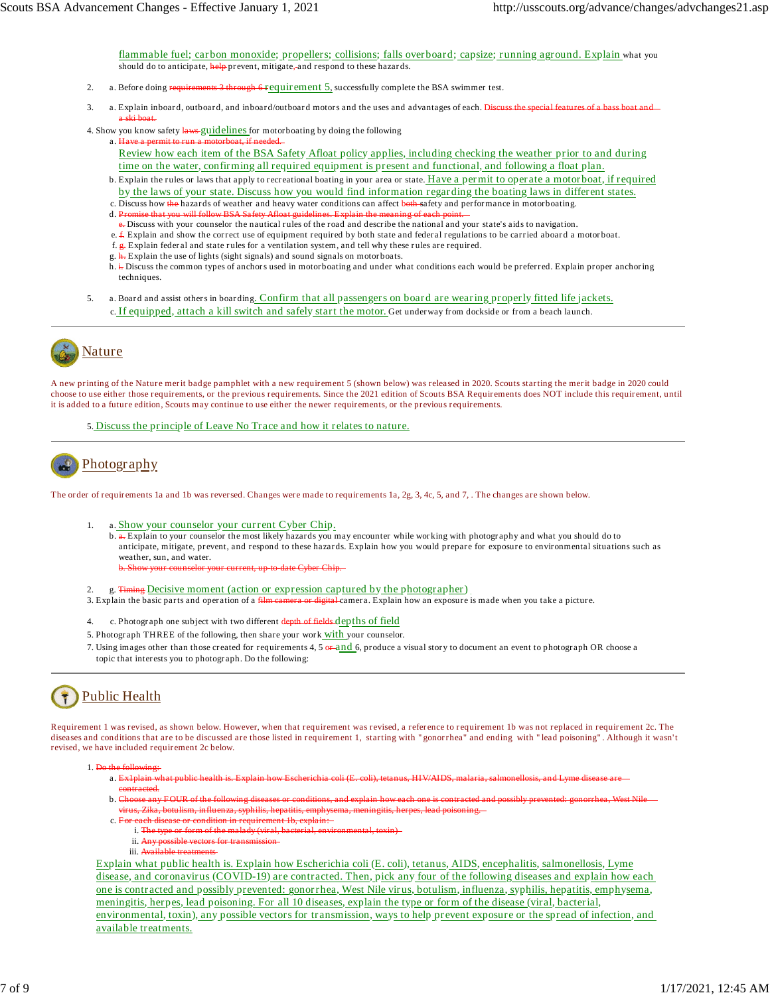flammable fuel; carbon monoxide; propellers; collisions; falls overboard; capsize; running aground. Explain what you should do to anticipate, help prevent, mitigate, and respond to these hazards.

- 2. a. Before doing requirements  $3$  through  $6$  requirement  $5$ , successfully complete the BSA swimmer test.
- 3. a. Explain inboard, outboard, and inboard/outboard motors and the uses and advantages of each. Discuss the sp a ski boat.
- 4. Show you know safety laws guidelines for motorboating by doing the following
	- a. Have a permit to run a motorboat, if needed.

Review how each item of the BSA Safety Afloat policy applies, including checking the weather prior to and during time on the water, confirming all required equipment is present and functional, and following a float plan.

- b. Explain the rules or laws that apply to recreational boating in your area or state. Have a permit to operate a motorboat, if required
- by the laws of your state. Discuss how you would find information regarding the boating laws in different states.
- c. Discuss how the hazards of weather and heavy water conditions can affect both safety and performance in motorboating.
- d. Promise that you will follow BSA Safety Afloat guidelines. Explain the meaning of each point.
- e. Discuss with your counselor the nautical r ules of the road and describe the national and your state's aids to navigation.
- e. f. Explain and show the correct use of equipment required by both state and feder al regulations to be carried aboar d a motor boat.
- f.  $g$ . Explain feder al and state rules for a ventilation system, and tell why these rules are required.
- g. h. Explain the use of lights (sight signals) and sound signals on motorboats.
- h. i. Discuss the common types of anchors used in motorboating and under what conditions each would be preferred. Explain proper anchoring techniques.
- 5. a. Board and assist others in boarding. Confirm that all passengers on board are wearing properly fitted life jackets. c. If equipped, attach a kill switch and safely start the motor. Get underway from dockside or from a beach launch.

# **Nature**

A new printing of the Nature merit badge pamphlet with a new requirement 5 (shown below) was released in 2020. Scouts starting the merit badge in 2020 could choose to use either those requirements, or the previous requirements. Since the 2021 edition of Scouts BSA Requirements does NOT include this requirement, until it is added to a future edition, Scouts may continue to use either the newer requirements, or the previous requirements.

5. Discuss the principle of Leave No Trace and how it relates to nature.

# Photography

The order of requirements 1a and 1b was reversed. Changes were made to requirements 1a, 2g, 3, 4c, 5, and 7, . The changes are shown below.

- 1. a. Show your counselor your current Cyber Chip.
	- b. a. Explain to your counselor the most likely hazards you may encounter while working with photography and what you should do to anticipate, mitigate, prevent, and respond to these hazards. Explain how you would prepare for exposure to environmental situations such as weather, sun, and water. b. Show your counselor your current, up-to-date Cyber Chip.
- 
- 2. g. Timing Decisive moment (action or expression captured by the photographer)<br>3. Explain the basic parts and operation of a film eamera or digital camera. Explain how an exposure i or digital camera. Explain how an exposure is made when you take a picture.
- c. Photograph one subject with two different depth of fields depths of field
- 5. Photograph THREE of the following, then share your work with your counselor.
- 7. Using images other than those created for requirements 4, 5 or and 6, produce a visual story to document an event to photograph OR choose a topic that interests you to photogr aph. Do the following:



Requirement 1 was revised, as shown below. However, when that requirement was revised, a reference to requirement 1b was not replaced in requirement 2c. The diseases and conditions that are to be discussed are those listed in r equirement 1, starting with " gonorrhea" and ending with " lead poisoning" . Although it wasn't revised, we have included requir ement 2c below.

- 1. Do the following:
	- a. Ex1plain what public health is. Explain how Escherichia coli (E. coli), tetanus, HIV/AIDS, malaria, salmonellosis, and Lyme disease are contracted.
	- any FOUR of the virus, Zika, botulism, influenza, syphilis, hepatitis, emphysema, meningitis, herpes, lead poisoning.
	- c. For each disease or condition in requirement 1b, explain:
		- i. The type or form of the malady (viral, bacterial, environmental, toxin)
		- ii. Any possible vectors for transmission
		- iii. A

Explain what public health is. Explain how Escherichia coli (E. coli), tetanus, AIDS, encephalitis, salmonellosis, Lyme disease, and coronavirus (COVID-19) are contracted. Then, pick any four of the following diseases and explain how each one is contracted and possibly prevented: gonorrhea, West Nile virus, botulism, influenza, syphilis, hepatitis, emphysema, meningitis, herpes, lead poisoning. For all 10 diseases, explain the type or form of the disease (viral, bacterial, environmental, toxin), any possible vectors for transmission, ways to help prevent exposure or the spread of infection, and available treatments.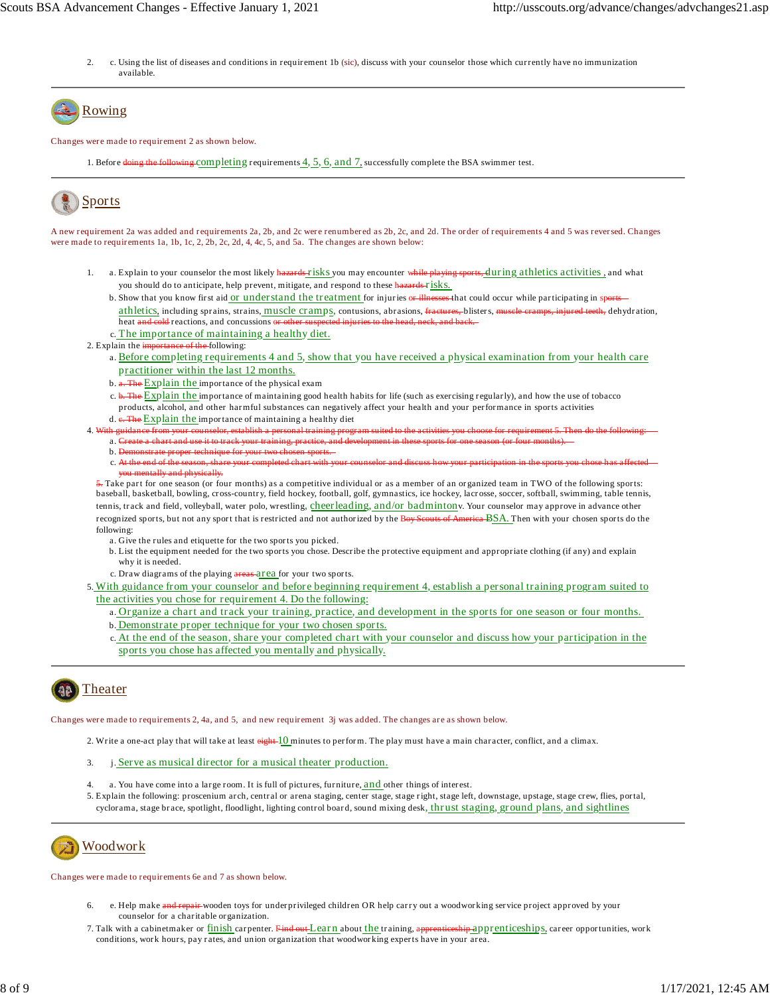2. c. Using the list of diseases and conditions in requirement 1b (sic), discuss with your counselor those which currently have no immunization available.



Changes were made to requirement 2 as shown below.

1. Before doing the following completing requirements 4, 5, 6, and 7, successfully complete the BSA swimmer test.



A new requirement 2a was added and requirements 2a, 2b, and 2c were renumbered as 2b, 2c, and 2d. The order of requirements 4 and 5 was reversed. Changes were made to requirements 1a, 1b, 1c, 2, 2b, 2c, 2d, 4, 4c, 5, and 5a. The changes are shown below:

- 1. a. Explain to your counselor the most likely hazards risks you may encounter while playing sports, during athletics activities, and what you should do to anticipate, help prevent, mitigate, and respond to these hazards risks.
	- b. Show that you know first aid or understand the treatment for injuries or illnesses that could occur while participating in sportsathletics, including sprains, strains, muscle cramps, contusions, abrasions, fractures, blisters, muscle cramps, injured teeth, dehydration, heat and cold reactions, and concussions or
	- c. The importance of maintaining a healthy diet.
- 2. Explain the *importance* of the following:
	- a. Before completing requirements 4 and 5, show that you have received a physical examination from your health care practitioner within the last 12 months.
	- b.  $a$ . The Explain the importance of the physical exam
	- c.  $\mathbf{b}$ . The Explain the importance of maintaining good health habits for life (such as exercising regularly), and how the use of tobacco products, alcohol, and other harmful substances can negatively affect your health and your performance in sports activities d.  $e$ . The Explain the importance of maintaining a healthy diet
	-
- 4. With guidance from your counselor, establish a personal training program suited to the activities you choose for requirement 5. Then do the following: a. Create a chart and use it to track your training, practice, and development in these sports for one season (or four months).
	- b. Demonstrate proper technique for your two chosen sports.
		- c. At the end of the season, share your completed chart with your counselor and discuss how your participation in the sports you chose has affected you mentally and physically.

5. Take part for one season (or four months) as a competitive individual or as a member of an or ganized team in TWO of the following sports: baseball, basketball, bowling, cross-country, field hockey, football, golf, gymnastics, ice hockey, lacrosse, soccer, softball, swimming, table tennis, tennis, track and field, volleyball, water polo, wrestling, cheerleading, and/or badmintony. Your counselor may approve in advance other recognized sports, but not any sport that is restricted and not authorized by the Boy Scouts of America BSA. Then with your chosen sports do the following:

- a. Give the rules and etiquette for the two sports you picked.
- b. List the equipment needed for the two sports you chose. Describe the protective equipment and appropriate clothing (if any) and explain why it is needed.
- c. Draw diagrams of the playing areas area for your two sports.
- 5. With guidance from your counselor and before beginning requirement 4, establish a personal training program suited to
	- the activities you chose for requirement 4. Do the following:
		- a. Organize a chart and track your training, practice, and development in the sports for one season or four months. b. Demonstrate proper technique for your two chosen sports.
		- c. At the end of the season, share your completed chart with your counselor and discuss how your participation in the sports you chose has affected you mentally and physically.

# Theater

Changes wer e made to requir ements 2, 4a, and 5, and new requirement 3j was added. The changes are as shown below.

2. Write a one-act play that will take at least eight-10 minutes to perform. The play must have a main character, conflict, and a climax.

- 3. j. Serve as musical director for a musical theater production.
- 4. a. You have come into a large room. It is full of pictures, furniture, and other things of interest.
- 5. Explain the following: proscenium ar ch, central or arena staging, center stage, stage right, stage left, downstage, upstage, stage crew, flies, portal, cyclorama, stage brace, spotlight, floodlight, lighting control board, sound mixing desk, thrust staging, ground plans, and sightlines



Changes were made to requirements 6e and 7 as shown below.

- 6. e. Help make and repair wooden toys for underprivileged children OR help carry out a woodworking service project approved by your counselor for a charitable organization.
- 7. Talk with a cabinetmaker or finish carpenter. Find out Learn about the training, apprenticeship apprenticeships, career opportunities, work conditions, work hours, pay rates, and union organization that woodworking experts have in your area.